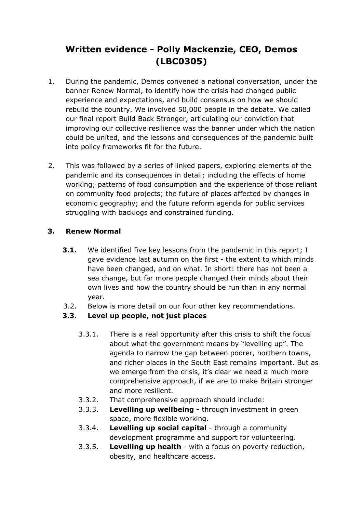# **Written evidence - Polly Mackenzie, CEO, Demos (LBC0305)**

- 1. During the pandemic, Demos convened a national conversation, under the banner Renew Normal, to identify how the crisis had changed public experience and expectations, and build consensus on how we should rebuild the country. We involved 50,000 people in the debate. We called our final report Build Back Stronger, articulating our conviction that improving our collective resilience was the banner under which the nation could be united, and the lessons and consequences of the pandemic built into policy frameworks fit for the future.
- 2. This was followed by a series of linked papers, exploring elements of the pandemic and its consequences in detail; including the effects of home working; patterns of food consumption and the experience of those reliant on community food projects; the future of places affected by changes in economic geography; and the future reform agenda for public services struggling with backlogs and constrained funding.

#### **3. Renew Normal**

- **3.1.** We identified five key lessons from the pandemic in this report; I gave evidence last autumn on the first - the extent to which minds have been changed, and on what. In short: there has not been a sea change, but far more people changed their minds about their own lives and how the country should be run than in any normal year.
- 3.2. Below is more detail on our four other key recommendations.

### **3.3. Level up people, not just places**

- 3.3.1. There is a real opportunity after this crisis to shift the focus about what the government means by "levelling up". The agenda to narrow the gap between poorer, northern towns, and richer places in the South East remains important. But as we emerge from the crisis, it's clear we need a much more comprehensive approach, if we are to make Britain stronger and more resilient.
- 3.3.2. That comprehensive approach should include:
- 3.3.3. **Levelling up wellbeing -** through investment in green space, more flexible working.
- 3.3.4. **Levelling up social capital** through a community development programme and support for volunteering.
- 3.3.5. **Levelling up health** with a focus on poverty reduction, obesity, and healthcare access.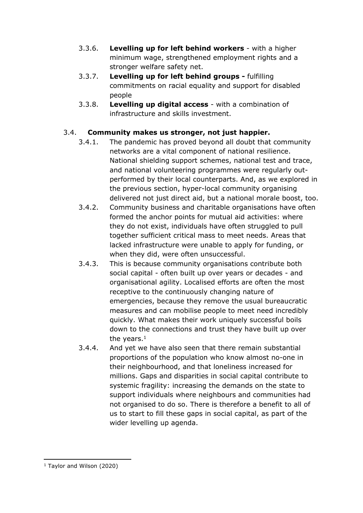- 3.3.6. **Levelling up for left behind workers** with a higher minimum wage, strengthened employment rights and a stronger welfare safety net.
- 3.3.7. **Levelling up for left behind groups -** fulfilling commitments on racial equality and support for disabled people
- 3.3.8. **Levelling up digital access** with a combination of infrastructure and skills investment.

## 3.4. **Community makes us stronger, not just happier.**

- 3.4.1. The pandemic has proved beyond all doubt that community networks are a vital component of national resilience. National shielding support schemes, national test and trace, and national volunteering programmes were regularly outperformed by their local counterparts. And, as we explored in the previous section, hyper-local community organising delivered not just direct aid, but a national morale boost, too.
- 3.4.2. Community business and charitable organisations have often formed the anchor points for mutual aid activities: where they do not exist, individuals have often struggled to pull together sufficient critical mass to meet needs. Areas that lacked infrastructure were unable to apply for funding, or when they did, were often unsuccessful.
- 3.4.3. This is because community organisations contribute both social capital - often built up over years or decades - and organisational agility. Localised efforts are often the most receptive to the continuously changing nature of emergencies, because they remove the usual bureaucratic measures and can mobilise people to meet need incredibly quickly. What makes their work uniquely successful boils down to the connections and trust they have built up over the vears. $<sup>1</sup>$ </sup>
- 3.4.4. And yet we have also seen that there remain substantial proportions of the population who know almost no-one in their neighbourhood, and that loneliness increased for millions. Gaps and disparities in social capital contribute to systemic fragility: increasing the demands on the state to support individuals where neighbours and communities had not organised to do so. There is therefore a benefit to all of us to start to fill these gaps in social capital, as part of the wider levelling up agenda.

<sup>1</sup> Taylor and Wilson (2020)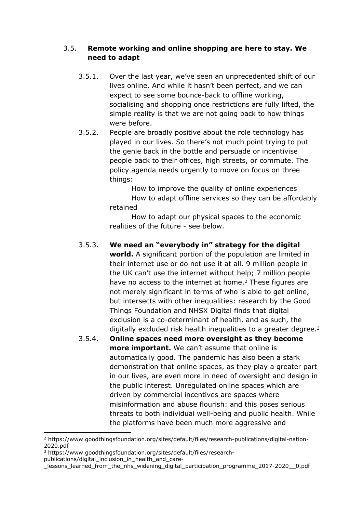#### 3.5. **Remote working and online shopping are here to stay. We need to adapt**

- 3.5.1. Over the last year, we've seen an unprecedented shift of our lives online. And while it hasn't been perfect, and we can expect to see some bounce-back to offline working, socialising and shopping once restrictions are fully lifted, the simple reality is that we are not going back to how things were before.
- 3.5.2. People are broadly positive about the role technology has played in our lives. So there's not much point trying to put the genie back in the bottle and persuade or incentivise people back to their offices, high streets, or commute. The policy agenda needs urgently to move on focus on three things:

How to improve the quality of online experiences How to adapt offline services so they can be affordably retained

How to adapt our physical spaces to the economic realities of the future - see below.

## 3.5.3. **We need an "everybody in" strategy for the digital**

**world.** A significant portion of the population are limited in their internet use or do not use it at all. 9 million people in the UK can't use the internet without help; 7 million people have no access to the internet at home.<sup>2</sup> These figures are not merely significant in terms of who is able to get online, but intersects with other inequalities: research by the Good Things Foundation and NHSX Digital finds that digital exclusion is a co-determinant of health, and as such, the digitally excluded risk health inequalities to a greater degree.<sup>3</sup>

3.5.4. **Online spaces need more oversight as they become more important.** We can't assume that online is automatically good. The pandemic has also been a stark demonstration that online spaces, as they play a greater part in our lives, are even more in need of oversight and design in the public interest. Unregulated online spaces which are driven by commercial incentives are spaces where misinformation and abuse flourish: and this poses serious threats to both individual well-being and public health. While the platforms have been much more aggressive and

<sup>2</sup> https://www.goodthingsfoundation.org/sites/default/files/research-publications/digital-nation-2020.pdf

<sup>3</sup> https://www.goodthingsfoundation.org/sites/default/files/research-

publications/digital\_inclusion\_in\_health\_and\_care-

\_lessons\_learned\_from\_the\_nhs\_widening\_digital\_participation\_programme\_2017-2020\_\_0.pdf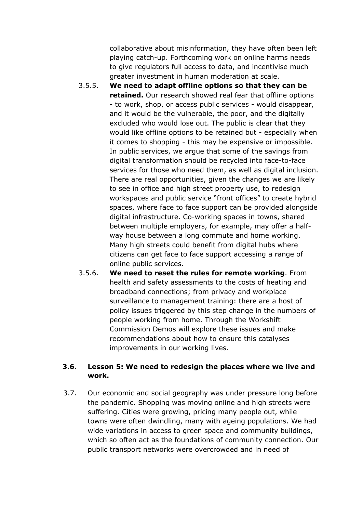collaborative about misinformation, they have often been left playing catch-up. Forthcoming work on online harms needs to give regulators full access to data, and incentivise much greater investment in human moderation at scale.

- 3.5.5. **We need to adapt offline options so that they can be retained.** Our research showed real fear that offline options - to work, shop, or access public services - would disappear, and it would be the vulnerable, the poor, and the digitally excluded who would lose out. The public is clear that they would like offline options to be retained but - especially when it comes to shopping - this may be expensive or impossible. In public services, we argue that some of the savings from digital transformation should be recycled into face-to-face services for those who need them, as well as digital inclusion. There are real opportunities, given the changes we are likely to see in office and high street property use, to redesign workspaces and public service "front offices" to create hybrid spaces, where face to face support can be provided alongside digital infrastructure. Co-working spaces in towns, shared between multiple employers, for example, may offer a halfway house between a long commute and home working. Many high streets could benefit from digital hubs where citizens can get face to face support accessing a range of online public services.
- 3.5.6. **We need to reset the rules for remote working**. From health and safety assessments to the costs of heating and broadband connections; from privacy and workplace surveillance to management training: there are a host of policy issues triggered by this step change in the numbers of people working from home. Through the Workshift Commission Demos will explore these issues and make recommendations about how to ensure this catalyses improvements in our working lives.

#### **3.6. Lesson 5: We need to redesign the places where we live and work.**

3.7. Our economic and social geography was under pressure long before the pandemic. Shopping was moving online and high streets were suffering. Cities were growing, pricing many people out, while towns were often dwindling, many with ageing populations. We had wide variations in access to green space and community buildings, which so often act as the foundations of community connection. Our public transport networks were overcrowded and in need of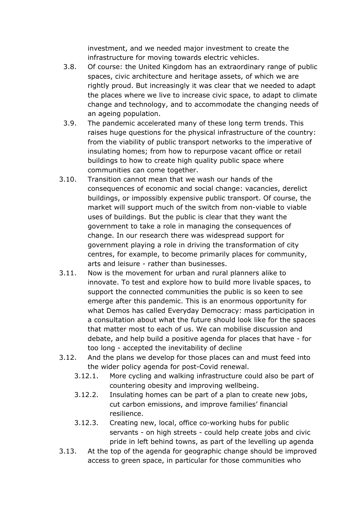investment, and we needed major investment to create the infrastructure for moving towards electric vehicles.

- 3.8. Of course: the United Kingdom has an extraordinary range of public spaces, civic architecture and heritage assets, of which we are rightly proud. But increasingly it was clear that we needed to adapt the places where we live to increase civic space, to adapt to climate change and technology, and to accommodate the changing needs of an ageing population.
- 3.9. The pandemic accelerated many of these long term trends. This raises huge questions for the physical infrastructure of the country: from the viability of public transport networks to the imperative of insulating homes; from how to repurpose vacant office or retail buildings to how to create high quality public space where communities can come together.
- 3.10. Transition cannot mean that we wash our hands of the consequences of economic and social change: vacancies, derelict buildings, or impossibly expensive public transport. Of course, the market will support much of the switch from non-viable to viable uses of buildings. But the public is clear that they want the government to take a role in managing the consequences of change. In our research there was widespread support for government playing a role in driving the transformation of city centres, for example, to become primarily places for community, arts and leisure - rather than businesses.
- 3.11. Now is the movement for urban and rural planners alike to innovate. To test and explore how to build more livable spaces, to support the connected communities the public is so keen to see emerge after this pandemic. This is an enormous opportunity for what Demos has called Everyday Democracy: mass participation in a consultation about what the future should look like for the spaces that matter most to each of us. We can mobilise discussion and debate, and help build a positive agenda for places that have - for too long - accepted the inevitability of decline
- 3.12. And the plans we develop for those places can and must feed into the wider policy agenda for post-Covid renewal.
	- 3.12.1. More cycling and walking infrastructure could also be part of countering obesity and improving wellbeing.
	- 3.12.2. Insulating homes can be part of a plan to create new jobs, cut carbon emissions, and improve families' financial resilience.
	- 3.12.3. Creating new, local, office co-working hubs for public servants - on high streets - could help create jobs and civic pride in left behind towns, as part of the levelling up agenda
- 3.13. At the top of the agenda for geographic change should be improved access to green space, in particular for those communities who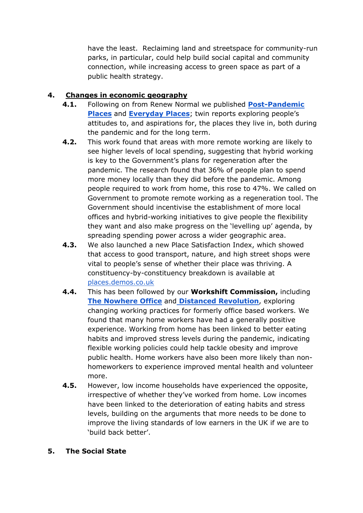have the least. Reclaiming land and streetspace for community-run parks, in particular, could help build social capital and community connection, while increasing access to green space as part of a public health strategy.

## **4. Changes in economic geography**

- **4.1.** Following on from Renew Normal we published **[Post-Pandemic](https://demos.co.uk/project/post-pandemic-places/) [Places](https://demos.co.uk/project/post-pandemic-places/)** and **[Everyday](https://demos.co.uk/project/everyday-places-creating-strong-locations-to-support-daily-life-in-britain/) [Places](https://demos.co.uk/project/everyday-places-creating-strong-locations-to-support-daily-life-in-britain/)**; twin reports exploring people's attitudes to, and aspirations for, the places they live in, both during the pandemic and for the long term.
- **4.2.** This work found that areas with more remote working are likely to see higher levels of local spending, suggesting that hybrid working is key to the Government's plans for regeneration after the pandemic. The research found that 36% of people plan to spend more money locally than they did before the pandemic. Among people required to work from home, this rose to 47%. We called on Government to promote remote working as a regeneration tool. The Government should incentivise the establishment of more local offices and hybrid-working initiatives to give people the flexibility they want and also make progress on the 'levelling up' agenda, by spreading spending power across a wider geographic area.
- **4.3.** We also launched a new Place Satisfaction Index, which showed that access to good transport, nature, and high street shops were vital to people's sense of whether their place was thriving. A constituency-by-constituency breakdown is available at [places.demos.co.uk](http://places.demos.co.uk/)
- **4.4.** This has been followed by our **Workshift Commission,** including **[The](https://demos.co.uk/project/the-nowhere-office/) [Nowhere](https://demos.co.uk/project/the-nowhere-office/) [Office](https://demos.co.uk/project/the-nowhere-office/)** and **[Distanced](https://demos.co.uk/project/distanced-revolution-employee-experiences-of-working-from-home-during-the-pandemic/) [Revolution](https://demos.co.uk/project/distanced-revolution-employee-experiences-of-working-from-home-during-the-pandemic/)**, exploring changing working practices for formerly office based workers. We found that many home workers have had a generally positive experience. Working from home has been linked to better eating habits and improved stress levels during the pandemic, indicating flexible working policies could help tackle obesity and improve public health. Home workers have also been more likely than nonhomeworkers to experience improved mental health and volunteer more.
- **4.5.** However, low income households have experienced the opposite, irrespective of whether they've worked from home. Low incomes have been linked to the deterioration of eating habits and stress levels, building on the arguments that more needs to be done to improve the living standards of low earners in the UK if we are to 'build back better'.

#### **5. The Social State**